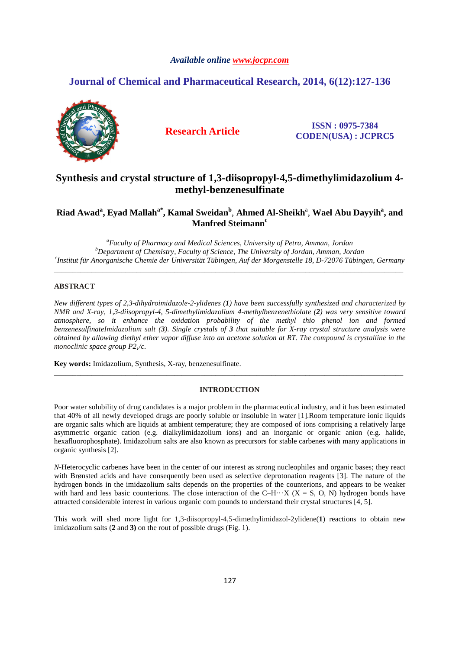# *Available online www.jocpr.com*

# **Journal of Chemical and Pharmaceutical Research, 2014, 6(12):127-136**



**Research Article ISSN : 0975-7384 CODEN(USA) : JCPRC5**

# **Synthesis and crystal structure of 1,3-diisopropyl-4,5-dimethylimidazolium 4 methyl-benzenesulfinate**

# **Riad Awad<sup>a</sup> , Eyad Mallaha\*, Kamal Sweidan<sup>b</sup>** , **Ahmed Al-Sheikh**<sup>a</sup> , **Wael Abu Dayyih<sup>a</sup> , and Manfred Steimann<sup>c</sup>**

*<sup>a</sup>Faculty of Pharmacy and Medical Sciences, University of Petra, Amman, Jordan <sup>b</sup>Department of Chemistry, Faculty of Science, The University of Jordan, Amman, Jordan c Institut für Anorganische Chemie der Universität Tübingen, Auf der Morgenstelle 18, D-72076 Tübingen, Germany* 

\_\_\_\_\_\_\_\_\_\_\_\_\_\_\_\_\_\_\_\_\_\_\_\_\_\_\_\_\_\_\_\_\_\_\_\_\_\_\_\_\_\_\_\_\_\_\_\_\_\_\_\_\_\_\_\_\_\_\_\_\_\_\_\_\_\_\_\_\_\_\_\_\_\_\_\_\_\_\_\_\_\_\_\_\_\_\_\_\_\_\_\_\_

# **ABSTRACT**

*New different types of 2,3-dihydroimidazole-2-ylidenes (1) have been successfully synthesized and characterized by NMR and X-ray, 1,3-diisopropyl-4, 5-dimethylimidazolium 4-methylbenzenethiolate (2) was very sensitive toward atmosphere, so it enhance the oxidation probability of the methyl thio phenol ion and formed benzenesulfinateImidazolium salt (3). Single crystals of 3 that suitable for X-ray crystal structure analysis were obtained by allowing diethyl ether vapor diffuse into an acetone solution at RT. The compound is crystalline in the monoclinic space group P21/c.* 

**Key words:** Imidazolium, Synthesis, X-ray, benzenesulfinate.

# **INTRODUCTION**

\_\_\_\_\_\_\_\_\_\_\_\_\_\_\_\_\_\_\_\_\_\_\_\_\_\_\_\_\_\_\_\_\_\_\_\_\_\_\_\_\_\_\_\_\_\_\_\_\_\_\_\_\_\_\_\_\_\_\_\_\_\_\_\_\_\_\_\_\_\_\_\_\_\_\_\_\_\_\_\_\_\_\_\_\_\_\_\_\_\_\_\_\_

Poor water solubility of drug candidates is a major problem in the pharmaceutical industry, and it has been estimated that 40% of all newly developed drugs are poorly soluble or insoluble in water [1].Room temperature ionic liquids are organic salts which are liquids at ambient temperature; they are composed of ions comprising a relatively large asymmetric organic cation (e.g. dialkylimidazolium ions) and an inorganic or organic anion (e.g. halide, hexafluorophosphate). Imidazolium salts are also known as precursors for stable carbenes with many applications in organic synthesis [2].

*N*-Heterocyclic carbenes have been in the center of our interest as strong nucleophiles and organic bases; they react with Brønsted acids and have consequently been used as selective deprotonation reagents [3]. The nature of the hydrogen bonds in the imidazolium salts depends on the properties of the counterions, and appears to be weaker with hard and less basic counterions. The close interaction of the C–H $\cdots$ X (X = S, O, N) hydrogen bonds have attracted considerable interest in various organic com pounds to understand their crystal structures [4, 5].

This work will shed more light for 1,3-diisopropyl-4,5-dimethylimidazol-2ylidene(**1**) reactions to obtain new imidazolium salts (**2** and **3)** on the rout of possible drugs (Fig. 1).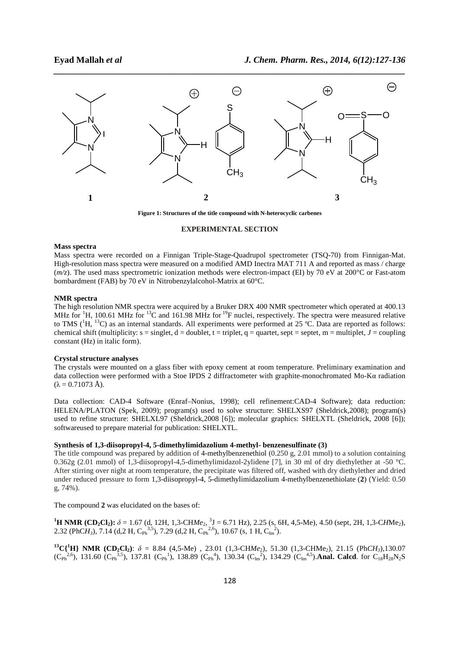

**Figure 1: Structures of the title compound with N-heterocyclic carbenes** 

#### **EXPERIMENTAL SECTION**

#### **Mass spectra**

Mass spectra were recorded on a Finnigan Triple-Stage-Quadrupol spectrometer (TSQ-70) from Finnigan-Mat. High-resolution mass spectra were measured on a modified AMD Inectra MAT 711 A and reported as mass / charge (*m/z*). The used mass spectrometric ionization methods were electron-impact (EI) by 70 eV at 200°C or Fast-atom bombardment (FAB) by 70 eV in Nitrobenzylalcohol-Matrix at 60°C.

#### **NMR spectra**

The high resolution NMR spectra were acquired by a Bruker DRX 400 NMR spectrometer which operated at 400.13 MHz for <sup>1</sup>H, 100.61 MHz for <sup>13</sup>C and 161.98 MHz for <sup>19</sup>F nuclei, respectively. The spectra were measured relative to TMS (<sup>1</sup>H, <sup>13</sup>C) as an internal standards. All experiments were performed at 25 °C. Data are reported as follows: chemical shift (multiplicity:  $s = singlet$ ,  $d = doublet$ ,  $t = triplet$ ,  $q = quartet$ , sept = septet,  $m = multiplet$ ,  $J = coupling$ constant (Hz) in italic form).

#### **Crystal structure analyses**

The crystals were mounted on a glass fiber with epoxy cement at room temperature. Preliminary examination and data collection were performed with a Stoe IPDS 2 diffractometer with graphite-monochromated Mo-Kα radiation  $(\lambda = 0.71073 \text{ Å})$ .

Data collection: CAD-4 Software (Enraf–Nonius, 1998); cell refinement:CAD-4 Software); data reduction: HELENA/PLATON (Spek, 2009); program(s) used to solve structure: SHELXS97 (Sheldrick,2008); program(s) used to refine structure: SHELXL97 (Sheldrick,2008 [6]); molecular graphics: SHELXTL (Sheldrick, 2008 [6]); softwareused to prepare material for publication: SHELXTL.

## **Synthesis of 1,3-diisopropyl-4, 5-dimethylimidazolium 4-methyl- benzenesulfinate (3)**

The title compound was prepared by addition of 4-methylbenzenethiol  $(0.250 \text{ g}, 2.01 \text{ mmol})$  to a solution containing 0.362g (2.01 mmol) of 1,3-diisopropyl-4,5-dimethylimidazol-2ylidene [7], in 30 ml of dry diethylether at -50 °C. After stirring over night at room temperature, the precipitate was filtered off, washed with dry diethylether and dried under reduced pressure to form 1,3-diisopropyl-4, 5-dimethylimidazolium 4-methylbenzenethiolate (**2**) (Yield: 0.50 g, 74%).

The compound **2** was elucidated on the bases of:

**<sup>1</sup>H NMR (CD<sub>2</sub>Cl<sub>2</sub>):**  $\delta$  = 1.67 (d, 12H, 1,3-CHMe<sub>2</sub>, <sup>3</sup>J = 6.71 Hz), 2.25 (s, 6H, 4,5-Me), 4.50 (sept, 2H, 1,3-CHMe<sub>2</sub>), 2.32 (PhCH<sub>3</sub>), 7.14 (d,2 H, C<sub>Ph</sub><sup>3,5</sup>), 7.29 (d,2 H, C<sub>Ph</sub><sup>2,6</sup>), 10.67 (s, 1 H, C<sub>Im</sub><sup>2</sup>).

**<sup>13</sup>C{<sup>1</sup>H} NMR (CD<sub>2</sub>Cl<sub>2</sub>):**  $\delta = 8.84$  **(4,5-Me), 23.01 (1,3-CHMe<sub>2</sub>), 51.30 (1,3-CHMe<sub>2</sub>), 21.15 (Ph***CH<sub>3</sub>***),130.07**  $(C_{Ph}^{2,6})$ , 131.60  $(C_{Ph}^{3,5})$ , 137.81  $(C_{Ph}^{1})$ , 138.89  $(C_{Ph}^{4})$ , 130.34  $(C_{lm}^{2})$ , 134.29  $(C_{lm}^{4,5})$ . **Anal. Calcd**. for  $C_{18}H_{28}N_2S$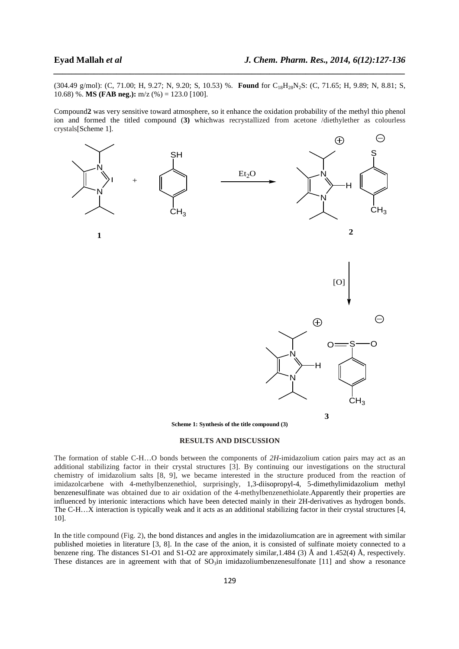(304.49 g/mol): (C, 71.00; H, 9.27; N, 9.20; S, 10.53) %. **Found** for C<sub>18</sub>H<sub>28</sub>N<sub>2</sub>S: (C, 71.65; H, 9.89; N, 8.81; S, 10.68) %. **MS (FAB neg.):** m/z (%) = 123.0 [100].

*\_\_\_\_\_\_\_\_\_\_\_\_\_\_\_\_\_\_\_\_\_\_\_\_\_\_\_\_\_\_\_\_\_\_\_\_\_\_\_\_\_\_\_\_\_\_\_\_\_\_\_\_\_\_\_\_\_\_\_\_\_\_\_\_\_\_\_\_\_\_\_\_\_\_\_\_\_\_*

Compound**2** was very sensitive toward atmosphere, so it enhance the oxidation probability of the methyl thio phenol ion and formed the titled compound (**3)** whichwas recrystallized from acetone /diethylether as colourless crystals[Scheme 1].



#### **RESULTS AND DISCUSSION**

The formation of stable C-H…O bonds between the components of *2H*-imidazolium cation pairs may act as an additional stabilizing factor in their crystal structures [3]. By continuing our investigations on the structural chemistry of imidazolium salts [8, 9], we became interested in the structure produced from the reaction of imidazolcarbene with 4-methylbenzenethiol, surprisingly, 1,3-diisopropyl-4, 5-dimethylimidazolium methyl benzenesulfinate was obtained due to air oxidation of the 4-methylbenzenethiolate.Apparently their properties are influenced by interionic interactions which have been detected mainly in their 2H-derivatives as hydrogen bonds. The C-H…X interaction is typically weak and it acts as an additional stabilizing factor in their crystal structures [4, 10].

In the title compound (Fig. 2), the bond distances and angles in the imidazoliumcation are in agreement with similar published moieties in literature [3, 8]. In the case of the anion, it is consisted of sulfinate moiety connected to a benzene ring. The distances S1-O1 and S1-O2 are approximately similar,1.484 (3) Å and 1.452(4) Å, respectively. These distances are in agreement with that of  $SO<sub>3</sub>$  in imidazoliumbenzenesulfonate [11] and show a resonance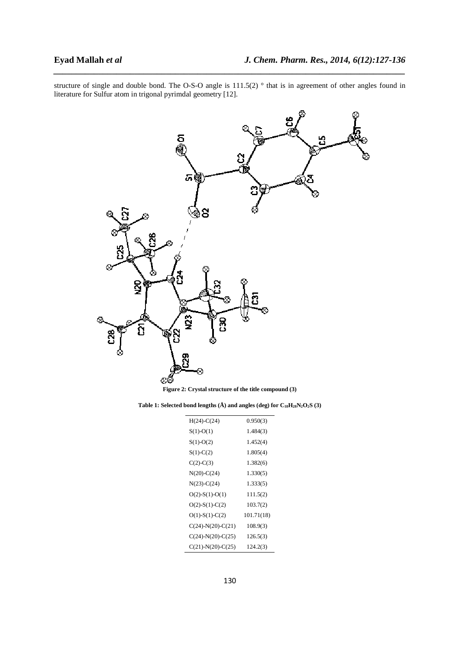structure of single and double bond. The O-S-O angle is 111.5(2) ° that is in agreement of other angles found in literature for Sulfur atom in trigonal pyrimdal geometry [12].

*\_\_\_\_\_\_\_\_\_\_\_\_\_\_\_\_\_\_\_\_\_\_\_\_\_\_\_\_\_\_\_\_\_\_\_\_\_\_\_\_\_\_\_\_\_\_\_\_\_\_\_\_\_\_\_\_\_\_\_\_\_\_\_\_\_\_\_\_\_\_\_\_\_\_\_\_\_\_*



**Figure 2: Crystal structure of the title compound (3)** 

| Table 1: Selected bond lengths (A) and angles (deg) for $C_{18}H_{28}N_2O_2S$ (3) |  |
|-----------------------------------------------------------------------------------|--|
|-----------------------------------------------------------------------------------|--|

| $H(24)-C(24)$        | 0.950(3)   |
|----------------------|------------|
| $S(1)-O(1)$          | 1.484(3)   |
| $S(1)-O(2)$          | 1.452(4)   |
| $S(1)-C(2)$          | 1.805(4)   |
| $C(2)-C(3)$          | 1.382(6)   |
| $N(20)$ -C $(24)$    | 1.330(5)   |
| $N(23) - C(24)$      | 1.333(5)   |
| $O(2)$ -S(1)-O(1)    | 111.5(2)   |
| $O(2)$ -S(1)-C(2)    | 103.7(2)   |
| $O(1)$ -S(1)-C(2)    | 101.71(18) |
| $C(24)-N(20)-C(21)$  | 108.9(3)   |
| $C(24)-N(20)-C(25)$  | 126.5(3)   |
| $C(21)$ -N(20)-C(25) | 124.2(3)   |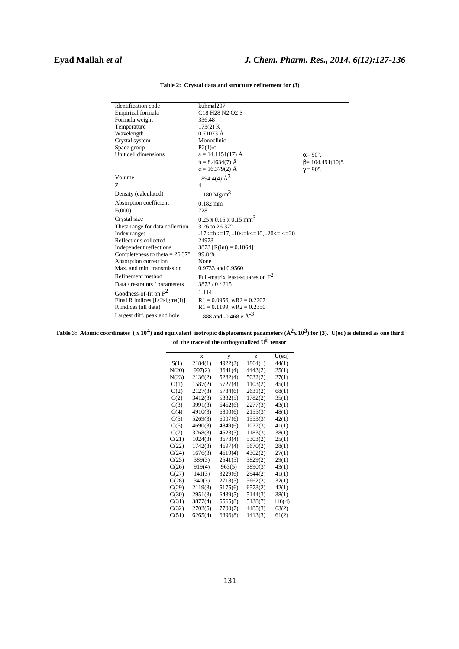| Identification code                     | kuhmal207                                                       |                         |
|-----------------------------------------|-----------------------------------------------------------------|-------------------------|
| Empirical formula                       | C <sub>18</sub> H <sub>28</sub> N <sub>2</sub> O <sub>2</sub> S |                         |
| Formula weight                          | 336.48                                                          |                         |
| Temperature                             | 173(2) K                                                        |                         |
| Wavelength                              | $0.71073 \text{ Å}$                                             |                         |
| Crystal system                          | Monoclinic                                                      |                         |
| Space group                             | P2(1)/c                                                         |                         |
| Unit cell dimensions                    | $a = 14.1151(17)$ Å                                             | $\alpha = 90^\circ$ .   |
|                                         | $b = 8.4634(7)$ Å                                               | $\beta$ = 104.491(10)°. |
|                                         | $c = 16.379(2)$ Å                                               | $\gamma = 90^\circ$ .   |
| Volume                                  | 1894.4(4) $\AA^3$                                               |                         |
| Z                                       | 4                                                               |                         |
| Density (calculated)                    | 1.180 $Mg/m^3$                                                  |                         |
| Absorption coefficient                  | $0.182$ mm <sup>-1</sup>                                        |                         |
| F(000)                                  | 728                                                             |                         |
| Crystal size                            | $0.25 \times 0.15 \times 0.15$ mm <sup>3</sup>                  |                         |
| Theta range for data collection         | 3.26 to $26.37^{\circ}$ .                                       |                         |
| Index ranges                            | $-17$ < $-17$ , $-10$ < $-k$ < $-10$ , $-20$ < $-1$ < $-20$     |                         |
| Reflections collected                   | 24973                                                           |                         |
| Independent reflections                 | 3873 [R(int) = $0.1064$ ]                                       |                         |
| Completeness to theta = $26.37^{\circ}$ | 99.8%                                                           |                         |
| Absorption correction                   | None                                                            |                         |
| Max. and min. transmission              | 0.9733 and 0.9560                                               |                         |
| Refinement method                       | Full-matrix least-squares on $F^2$                              |                         |
| Data / restraints / parameters          | 3873/0/215                                                      |                         |
| Goodness-of-fit on $F^2$                | 1.114                                                           |                         |
| Final R indices $[1>2$ sigma $(I)$ ]    | $R1 = 0.0956$ , wR2 = 0.2207                                    |                         |
| R indices (all data)                    | $R1 = 0.1199$ , wR2 = 0.2350                                    |                         |
| Largest diff. peak and hole             | 1.888 and -0.468 e.Å <sup>-3</sup>                              |                         |

*\_\_\_\_\_\_\_\_\_\_\_\_\_\_\_\_\_\_\_\_\_\_\_\_\_\_\_\_\_\_\_\_\_\_\_\_\_\_\_\_\_\_\_\_\_\_\_\_\_\_\_\_\_\_\_\_\_\_\_\_\_\_\_\_\_\_\_\_\_\_\_\_\_\_\_\_\_\_* **Table 2: Crystal data and structure refinement for (3)**

Table 3: Atomic coordinates (x 10<sup>4</sup>) and equivalent isotropic displacement parameters ( $\AA^2$ x 10<sup>3</sup>) for (3). U(eq) is defined as one third **of the trace of the orthogonalized Uij tensor** 

|       | X       | у       | z       | U(eq)  |
|-------|---------|---------|---------|--------|
| S(1)  | 2184(1) | 4922(2) | 1864(1) | 44(1)  |
| N(20) | 997(2)  | 3641(4) | 4443(2) | 25(1)  |
| N(23) | 2136(2) | 5282(4) | 5032(2) | 27(1)  |
| O(1)  | 1587(2) | 5727(4) | 1103(2) | 45(1)  |
| O(2)  | 2127(3) | 5734(6) | 2631(2) | 68(1)  |
| C(2)  | 3412(3) | 5332(5) | 1782(2) | 35(1)  |
| C(3)  | 3991(3) | 6462(6) | 2277(3) | 43(1)  |
| C(4)  | 4910(3) | 6800(6) | 2155(3) | 48(1)  |
| C(5)  | 5269(3) | 6007(6) | 1553(3) | 42(1)  |
| C(6)  | 4690(3) | 4849(6) | 1077(3) | 41(1)  |
| C(7)  | 3768(3) | 4523(5) | 1183(3) | 38(1)  |
| C(21) | 1024(3) | 3673(4) | 5303(2) | 25(1)  |
| C(22) | 1742(3) | 4697(4) | 5670(2) | 28(1)  |
| C(24) | 1676(3) | 4619(4) | 4302(2) | 27(1)  |
| C(25) | 389(3)  | 2541(5) | 3829(2) | 29(1)  |
| C(26) | 919(4)  | 963(5)  | 3890(3) | 43(1)  |
| C(27) | 141(3)  | 3229(6) | 2944(2) | 41(1)  |
| C(28) | 340(3)  | 2718(5) | 5662(2) | 32(1)  |
| C(29) | 2119(3) | 5175(6) | 6573(2) | 42(1)  |
| C(30) | 2951(3) | 6439(5) | 5144(3) | 38(1)  |
| C(31) | 3877(4) | 5565(8) | 5138(7) | 116(4) |
| C(32) | 2702(5) | 7700(7) | 4485(3) | 63(2)  |
| C(51) | 6265(4) | 6396(8) | 1413(3) | 61(2)  |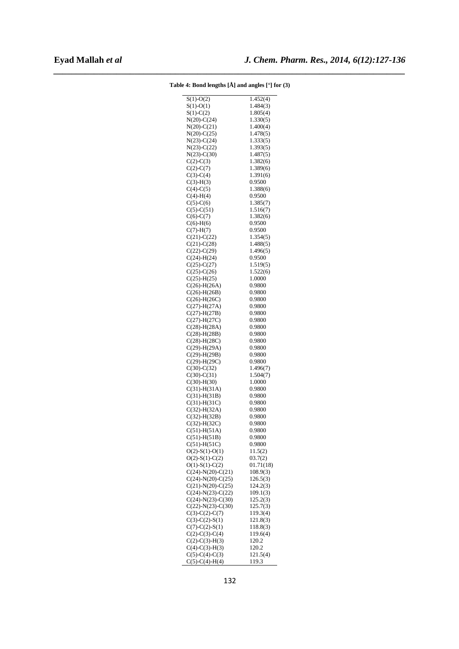| $S(1)-O(2)$          | 1.452(4)  |
|----------------------|-----------|
| $S(1)-O(1)$          | 1.484(3)  |
| $S(1)-C(2)$          | 1.805(4)  |
| $N(20) - C(24)$      | 1.330(5)  |
|                      | 1.400(4)  |
| $N(20) - C(21)$      |           |
| $N(20) - C(25)$      | 1.478(5)  |
| $N(23)-C(24)$        | 1.333(5)  |
| $N(23) - C(22)$      | 1.393(5)  |
| $N(23) - C(30)$      | 1.487(5)  |
| $C(2) - C(3)$        | 1.382(6)  |
| $C(2) - C(7)$        | 1.389(6)  |
| $C(3)-C(4)$          | 1.391(6)  |
| $C(3)-H(3)$          | 0.9500    |
| $C(4)-C(5)$          | 1.388(6)  |
| $C(4) - H(4)$        | 0.9500    |
| $C(5) - C(6)$        | 1.385(7)  |
| $C(5) - C(51)$       | 1.516(7)  |
|                      |           |
| $C(6)-C(7)$          | 1.382(6)  |
| $C(6)-H(6)$          | 0.9500    |
| $C(7)$ -H $(7)$      | 0.9500    |
| $C(21) - C(22)$      | 1.354(5)  |
| $C(21) - C(28)$      | 1.488(5)  |
| $C(22) - C(29)$      | 1.496(5)  |
| $C(24)$ -H $(24)$    | 0.9500    |
| $C(25) - C(27)$      | 1.519(5)  |
| $C(25) - C(26)$      | 1.522(6)  |
| $C(25) - H(25)$      | 1.0000    |
|                      |           |
| $C(26)$ -H $(26A)$   | 0.9800    |
| $C(26) - H(26B)$     | 0.9800    |
| $C(26)$ -H $(26C)$   | 0.9800    |
| $C(27) - H(27A)$     | 0.9800    |
| $C(27) - H(27B)$     | 0.9800    |
| $C(27) - H(27C)$     | 0.9800    |
| $C(28)$ -H $(28A)$   | 0.9800    |
| $C(28)$ -H $(28B)$   | 0.9800    |
| $C(28)$ -H $(28C)$   | 0.9800    |
| $C(29)$ -H $(29A)$   | 0.9800    |
|                      | 0.9800    |
| $C(29)$ -H $(29B)$   |           |
| $C(29)$ -H $(29C)$   | 0.9800    |
| $C(30) - C(32)$      | 1.496(7)  |
| $C(30) - C(31)$      | 1.504(7)  |
| $C(30)$ -H $(30)$    | 1.0000    |
| $C(31)$ -H $(31A)$   | 0.9800    |
| $C(31) - H(31B)$     | 0.9800    |
| $C(31)$ -H $(31C)$   | 0.9800    |
| $C(32)$ -H(32A)      | 0.9800    |
| $C(32) - H(32B)$     | 0.9800    |
| $C(32)$ -H $(32C)$   | 0.9800    |
| $C(51)$ -H $(51A)$   | 0.9800    |
|                      | 0.9800    |
| $C(51)$ -H(51B)      |           |
| $C(51)$ -H $(51C)$   | 0.9800    |
| $O(2)$ -S(1)-O(1)    | 11.5(2)   |
| $O(2)$ -S(1)-C(2)    | 03.7(2)   |
| $O(1)$ -S(1)-C(2)    | 01.71(18) |
| $C(24)-N(20)-C(21)$  | 108.9(3)  |
| $C(24)-N(20)-C(25)$  | 126.5(3)  |
| $C(21)$ -N(20)-C(25) | 124.2(3)  |
| $C(24)-N(23)-C(22)$  | 109.1(3)  |
| $C(24)-N(23)-C(30)$  | 125.2(3)  |
| $C(22)$ -N(23)-C(30) | 125.7(3)  |
| $C(3)-C(2)-C(7)$     | 119.3(4)  |
| $C(3)-C(2)-S(1)$     | 121.8(3)  |
|                      |           |
| $C(7) - C(2) - S(1)$ | 118.8(3)  |
| $C(2) - C(3) - C(4)$ | 119.6(4)  |
| $C(2) - C(3) - H(3)$ | 120.2     |
| $C(4)-C(3)-H(3)$     | 120.2     |
| $C(5) - C(4) - C(3)$ | 121.5(4)  |
| $C(5) - C(4) - H(4)$ | 119.3     |

| Table 4: Bond lengths [Å] and angles [°] for (3) |
|--------------------------------------------------|
|--------------------------------------------------|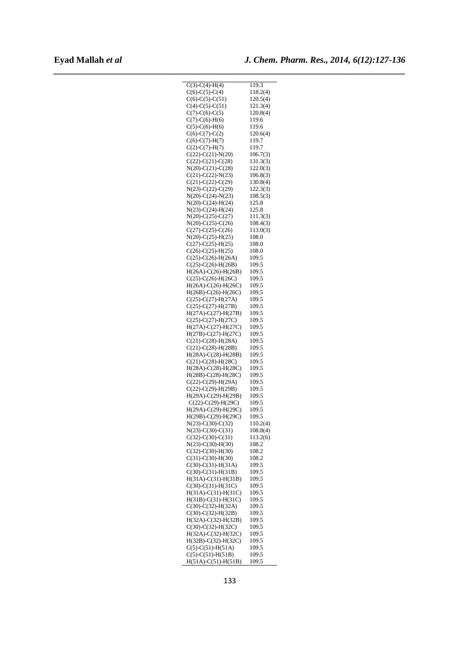| $C(3)-C(4)-H(4)$             | 119.3    |
|------------------------------|----------|
| $C(6)$ -C(5)-C(4)            | 118.2(4) |
|                              |          |
| $C(6)-C(5)-C(51)$            | 120.5(4) |
| $C(4)-C(5)-C(51)$            | 121.3(4) |
| $C(7)$ - $C(6)$ - $C(5)$     | 120.8(4) |
|                              |          |
| $C(7) - C(6) - H(6)$         | 119.6    |
| $C(5)$ - $C(6)$ - $H(6)$     | 119.6    |
|                              |          |
| $C(6)-C(7)-C(2)$             | 120.6(4) |
| $C(6)$ -C(7)-H(7)            | 119.7    |
| $C(2)$ -C(7)-H(7)            | 119.7    |
|                              |          |
| $C(22)$ - $C(21)$ - $N(20)$  | 106.7(3) |
| $C(22)$ -C $(21)$ -C $(28)$  | 131.3(3) |
| $N(20)$ -C $(21)$ -C $(28)$  | 122.0(3) |
|                              |          |
| $C(21)$ -C(22)-N(23)         | 106.8(3) |
| $C(21)$ -C(22)-C(29)         | 130.8(4) |
| $N(23)-C(22)-C(29)$          | 122.3(3) |
|                              |          |
| $N(20) - C(24) - N(23)$      | 108.5(3) |
| $N(20)$ -C(24)-H(24)         | 125.8    |
| $N(23)$ -C(24)-H(24)         | 125.8    |
|                              |          |
| $N(20)$ -C(25)-C(27)         | 111.3(3) |
| $N(20)$ -C(25)-C(26)         | 108.4(3) |
| $C(27)$ -C(25)-C(26)         | 113.0(3) |
|                              |          |
| $N(20) - C(25) - H(25)$      | 108.0    |
| $C(27) - C(25) - H(25)$      | 108.0    |
| $C(26)-C(25)-H(25)$          | 108.0    |
|                              |          |
| $C(25) - C(26) - H(26A)$     | 109.5    |
| $C(25) - C(26) - H(26B)$     | 109.5    |
| $H(26A)-C(26)-H(26B)$        | 109.5    |
|                              |          |
| $C(25)-C(26)-H(26C)$         | 109.5    |
| $H(26A)-C(26)-H(26C)$        | 109.5    |
| $H(26B) - C(26) - H(26C)$    | 109.5    |
|                              |          |
| $C(25) - C(27) - H(27A)$     | 109.5    |
| $C(25)$ - $C(27)$ - $H(27B)$ | 109.5    |
| $H(27A)-C(27)-H(27B)$        | 109.5    |
|                              |          |
| $C(25)$ -C(27)-H(27C)        | 109.5    |
| $H(27A)-C(27)-H(27C)$        | 109.5    |
| $H(27B) - C(27) - H(27C)$    | 109.5    |
|                              |          |
| $C(21)$ -C $(28)$ -H $(28A)$ | 109.5    |
| $C(21) - C(28) - H(28B)$     | 109.5    |
| $H(28A)-C(28)-H(28B)$        | 109.5    |
|                              |          |
| $C(21)$ -C(28)-H(28C)        | 109.5    |
| H(28A)-C(28)-H(28C)          | 109.5    |
| $H(28B) - C(28) - H(28C)$    | 109.5    |
| $C(22)$ -C(29)-H(29A)        | 109.5    |
|                              |          |
| $C(22)$ - $C(29)$ - $H(29B)$ | 109.5    |
| $H(29A)-C(29)-H(29B)$        | 109.5    |
| $C(22)$ -C(29)-H(29C)        | 109.5    |
|                              |          |
| $H(29A)-C(29)-H(29C)$        | 109.5    |
| H(29B)-C(29)-H(29C)          | 109.5    |
| $N(23)$ -C(30)-C(32)         | 110.2(4) |
|                              |          |
| $N(23)-C(30)-C(31)$          | 108.8(4) |
| $C(32)$ -C(30)-C(31)         | 113.2(6) |
| $N(23)-C(30)-H(30)$          | 108.2    |
|                              |          |
| $C(32) - C(30) - H(30)$      | 108.2    |
| $C(31) - C(30) - H(30)$      | 108.2    |
| $C(30)-C(31)-H(31A)$         | 109.5    |
|                              |          |
| $C(30)-C(31)-H(31B)$         | 109.5    |
| $H(31A)-C(31)-H(31B)$        | 109.5    |
| $C(30)-C(31)-H(31C)$         | 109.5    |
|                              |          |
| $H(31A)-C(31)-H(31C)$        | 109.5    |
| $H(31B)-C(31)-H(31C)$        | 109.5    |
| $C(30)$ - $C(32)$ -H $(32A)$ | 109.5    |
|                              |          |
| $C(30)$ - $C(32)$ - $H(32B)$ | 109.5    |
| $H(32A)-C(32)-H(32B)$        | 109.5    |
| $C(30)$ -C(32)-H(32C)        | 109.5    |
|                              |          |
| H(32A)-C(32)-H(32C)          | 109.5    |
| H(32B)-C(32)-H(32C)          | 109.5    |
| $C(5)$ - $C(51)$ - $H(51A)$  | 109.5    |
| $C(5)-C(51)-H(51B)$          | 109.5    |
|                              |          |
| $H(51A)-C(51)-H(51B)$        | 109.5    |
|                              |          |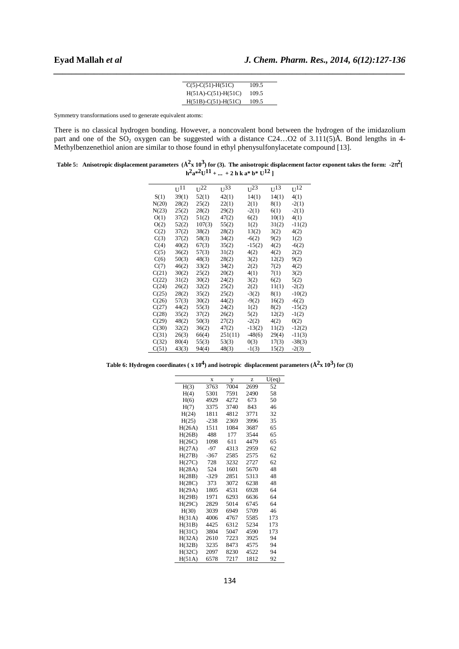| $C(5) - C(51) - H(51C)$ | 109.5 |
|-------------------------|-------|
| $H(51A)-C(51)-H(51C)$   | 109.5 |
| $H(51B)-C(51)-H(51C)$   | 109.5 |

Symmetry transformations used to generate equivalent atoms:

There is no classical hydrogen bonding. However, a noncovalent bond between the hydrogen of the imidazolium part and one of the  $SO_2$  oxygen can be suggested with a distance C24...O2 of 3.111(5)Å. Bond lengths in 4-Methylbenzenethiol anion are similar to those found in ethyl phenysulfonylacetate compound [13].

Table 5: Anisotropic displacement parameters  $(\AA^2 x\ 10^3)$  for (3). The anisotropic displacement factor exponent takes the form: -2 $\pi^2$ [  $h^2 a^{*2} U^{11} + ... + 2 h k a^{*} b^{*} U^{12}$ 

|       | U <sub>11</sub> | $U^{22}$ | $U^{33}$ | $U^{23}$ | $U^{13}$ | $U^{12}$ |
|-------|-----------------|----------|----------|----------|----------|----------|
| S(1)  | 39(1)           | 52(1)    | 42(1)    | 14(1)    | 14(1)    | 4(1)     |
| N(20) | 28(2)           | 25(2)    | 22(1)    | 2(1)     | 8(1)     | $-2(1)$  |
| N(23) | 25(2)           | 28(2)    | 29(2)    | $-2(1)$  | 6(1)     | $-2(1)$  |
| O(1)  | 37(2)           | 51(2)    | 47(2)    | 6(2)     | 10(1)    | 4(1)     |
| O(2)  | 52(2)           | 107(3)   | 55(2)    | 1(2)     | 31(2)    | $-11(2)$ |
| C(2)  | 37(2)           | 38(2)    | 28(2)    | 13(2)    | 3(2)     | 4(2)     |
| C(3)  | 37(2)           | 58(3)    | 34(2)    | $-6(2)$  | 9(2)     | 1(2)     |
| C(4)  | 40(2)           | 67(3)    | 35(2)    | $-15(2)$ | 4(2)     | $-6(2)$  |
| C(5)  | 36(2)           | 57(3)    | 31(2)    | 4(2)     | 4(2)     | 2(2)     |
| C(6)  | 50(3)           | 48(3)    | 28(2)    | 3(2)     | 12(2)    | 9(2)     |
| C(7)  | 46(2)           | 33(2)    | 34(2)    | 2(2)     | 7(2)     | 4(2)     |
| C(21) | 30(2)           | 25(2)    | 20(2)    | 4(1)     | 7(1)     | 3(2)     |
| C(22) | 31(2)           | 30(2)    | 24(2)    | 3(2)     | 6(2)     | 5(2)     |
| C(24) | 26(2)           | 32(2)    | 25(2)    | 2(2)     | 11(1)    | $-2(2)$  |
| C(25) | 28(2)           | 35(2)    | 25(2)    | $-3(2)$  | 8(1)     | $-10(2)$ |
| C(26) | 57(3)           | 30(2)    | 44(2)    | $-9(2)$  | 16(2)    | $-6(2)$  |
| C(27) | 44(2)           | 55(3)    | 24(2)    | 1(2)     | 8(2)     | $-15(2)$ |
| C(28) | 35(2)           | 37(2)    | 26(2)    | 5(2)     | 12(2)    | $-1(2)$  |
| C(29) | 48(2)           | 50(3)    | 27(2)    | $-2(2)$  | 4(2)     | 0(2)     |
| C(30) | 32(2)           | 36(2)    | 47(2)    | $-13(2)$ | 11(2)    | $-12(2)$ |
| C(31) | 26(3)           | 66(4)    | 251(11)  | $-48(6)$ | 29(4)    | $-11(3)$ |
| C(32) | 80(4)           | 55(3)    | 53(3)    | 0(3)     | 17(3)    | $-38(3)$ |
| C(51) | 43(3)           | 94(4)    | 48(3)    | $-1(3)$  | 15(2)    | $-2(3)$  |

Table 6: Hydrogen coordinates ( $x 10<sup>4</sup>$ ) and isotropic displacement parameters ( $\AA^2 x 10^3$ ) for (3)

|        | X      | у    | Z    | U(eq) |
|--------|--------|------|------|-------|
| H(3)   | 3763   | 7004 | 2699 | 52    |
| H(4)   | 5301   | 7591 | 2490 | 58    |
| H(6)   | 4929   | 4272 | 673  | 50    |
| H(7)   | 3375   | 3740 | 843  | 46    |
| H(24)  | 1811   | 4812 | 3771 | 32    |
| H(25)  | $-238$ | 2369 | 3996 | 35    |
| H(26A) | 1511   | 1084 | 3687 | 65    |
| H(26B) | 488    | 177  | 3544 | 65    |
| H(26C) | 1098   | 611  | 4479 | 65    |
| H(27A) | $-97$  | 4313 | 2959 | 62    |
| H(27B) | $-367$ | 2585 | 2575 | 62    |
| H(27C) | 728    | 3232 | 2727 | 62    |
| H(28A) | 524    | 1601 | 5670 | 48    |
| H(28B) | $-329$ | 2851 | 5313 | 48    |
| H(28C) | 373    | 3072 | 6238 | 48    |
| H(29A) | 1805   | 4531 | 6928 | 64    |
| H(29B) | 1971   | 6293 | 6636 | 64    |
| H(29C) | 2829   | 5014 | 6745 | 64    |
| H(30)  | 3039   | 6949 | 5709 | 46    |
| H(31A) | 4006   | 4767 | 5585 | 173   |
| H(31B) | 4425   | 6312 | 5234 | 173   |
| H(31C) | 3804   | 5047 | 4590 | 173   |
| H(32A) | 2610   | 7223 | 3925 | 94    |
| H(32B) | 3235   | 8473 | 4575 | 94    |
| H(32C) | 2097   | 8230 | 4522 | 94    |
| H(51A) | 6578   | 7217 | 1812 | 92    |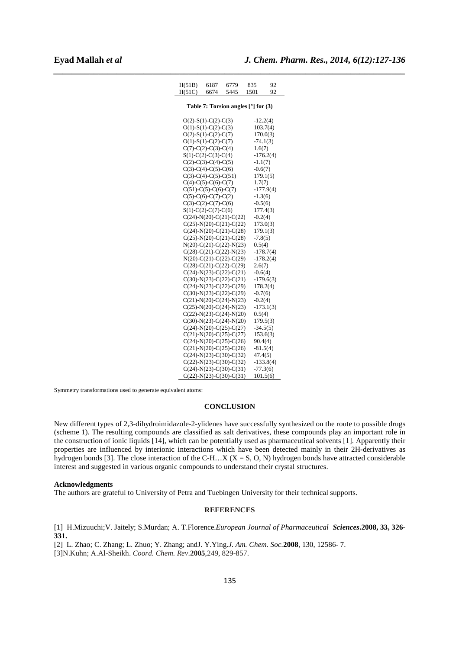| H(51B) | 6187                                                   | 6779 | 835                                 | 92          |
|--------|--------------------------------------------------------|------|-------------------------------------|-------------|
| H(51C) | 6674                                                   | 5445 | 1501                                | 92          |
|        |                                                        |      |                                     |             |
|        |                                                        |      | Table 7: Torsion angles [°] for (3) |             |
|        | $O(2)$ -S(1)-C(2)-C(3)                                 |      |                                     | $-12.2(4)$  |
|        | $O(1)$ -S(1)-C(2)-C(3)                                 |      |                                     | 103.7(4)    |
|        | $O(2)$ -S(1)-C(2)-C(7)                                 |      |                                     | 170.0(3)    |
|        | $O(1)$ -S(1)-C(2)-C(7)                                 |      |                                     | $-74.1(3)$  |
|        | $C(7)-C(2)-C(3)-C(4)$                                  |      | 1.6(7)                              |             |
|        | $S(1)$ -C(2)-C(3)-C(4)                                 |      |                                     | $-176.2(4)$ |
|        | $C(2)$ -C(3)-C(4)-C(5)                                 |      | $-1.1(7)$                           |             |
|        | $C(3)-C(4)-C(5)-C(6)$                                  |      | $-0.6(7)$                           |             |
|        | $C(3)-C(4)-C(5)-C(51)$                                 |      |                                     | 179.1(5)    |
|        | $C(4)-C(5)-C(6)-C(7)$<br>$C(51)-C(5)-C(6)-C(7)$        |      | 1.7(7)                              | $-177.9(4)$ |
|        | $C(5)-C(6)-C(7)-C(2)$                                  |      | $-1.3(6)$                           |             |
|        | $C(3)-C(2)-C(7)-C(6)$                                  |      | $-0.5(6)$                           |             |
|        | $S(1)$ -C(2)-C(7)-C(6)                                 |      |                                     | 177.4(3)    |
|        | $C(24)-N(20)-C(21)-C(22)$                              |      | $-0.2(4)$                           |             |
|        | $C(25)$ -N(20)-C(21)-C(22)                             |      |                                     | 173.0(3)    |
|        | $C(24)-N(20)-C(21)-C(28)$                              |      |                                     | 179.1(3)    |
|        | $C(25)$ -N(20)-C(21)-C(28)                             |      | $-7.8(5)$                           |             |
|        | $N(20) - C(21) - C(22) - N(23)$                        |      | 0.5(4)                              |             |
|        | $C(28)-C(21)-C(22)-N(23)$                              |      |                                     | $-178.7(4)$ |
|        | $N(20)$ -C(21)-C(22)-C(29)                             |      |                                     | $-178.2(4)$ |
|        | $C(28)-C(21)-C(22)-C(29)$                              |      | 2.6(7)                              |             |
|        | $C(24)-N(23)-C(22)-C(21)$                              |      | $-0.6(4)$                           |             |
|        | $C(30)-N(23)-C(22)-C(21)$<br>$C(24)-N(23)-C(22)-C(29)$ |      |                                     | $-179.6(3)$ |
|        | $C(30)-N(23)-C(22)-C(29)$                              |      | $-0.7(6)$                           | 178.2(4)    |
|        | $C(21) - N(20) - C(24) - N(23)$                        |      | $-0.2(4)$                           |             |
|        | $C(25)$ -N(20)-C(24)-N(23)                             |      |                                     | $-173.1(3)$ |
|        | $C(22) - N(23) - C(24) - N(20)$                        |      | 0.5(4)                              |             |
|        | $C(30)$ -N(23)-C(24)-N(20)                             |      |                                     | 179.5(3)    |
|        | $C(24)-N(20)-C(25)-C(27)$                              |      |                                     | $-34.5(5)$  |
|        | $C(21)$ -N(20)-C(25)-C(27)                             |      |                                     | 153.6(3)    |
|        | $C(24)-N(20)-C(25)-C(26)$                              |      | 90.4(4)                             |             |
|        | $C(21)$ -N(20)-C(25)-C(26)                             |      |                                     | $-81.5(4)$  |
|        | $C(24)-N(23)-C(30)-C(32)$                              |      | 47.4(5)                             |             |
|        | $C(22)$ -N(23)-C(30)-C(32)                             |      |                                     | $-133.8(4)$ |
|        | $C(24)-N(23)-C(30)-C(31)$                              |      |                                     | $-77.3(6)$  |
|        | $C(22)$ -N(23)-C(30)-C(31)                             |      |                                     | 101.5(6)    |

Symmetry transformations used to generate equivalent atoms:

#### **CONCLUSION**

New different types of 2,3-dihydroimidazole-2-ylidenes have successfully synthesized on the route to possible drugs (scheme 1). The resulting compounds are classified as salt derivatives, these compounds play an important role in the construction of ionic liquids [14], which can be potentially used as pharmaceutical solvents [1]. Apparently their properties are influenced by interionic interactions which have been detected mainly in their 2H-derivatives as hydrogen bonds [3]. The close interaction of the C-H…X ( $X = S$ , O, N) hydrogen bonds have attracted considerable interest and suggested in various organic compounds to understand their crystal structures.

### **Acknowledgments**

The authors are grateful to University of Petra and Tuebingen University for their technical supports.

# **REFERENCES**

[1] H.Mizuuchi;V. Jaitely; S.Murdan; A. T.Florence.*European Journal of Pharmaceutical Sciences***.2008, 33, 326- 331.** 

[2] L. Zhao; C. Zhang; L. Zhuo; Y. Zhang; andJ. Y.Ying.*J. Am. Chem. Soc.***2008**, 130, 12586- 7.

[3]N.Kuhn; A.Al-Sheikh. *Coord. Chem. Rev*.**2005**,249, 829-857.